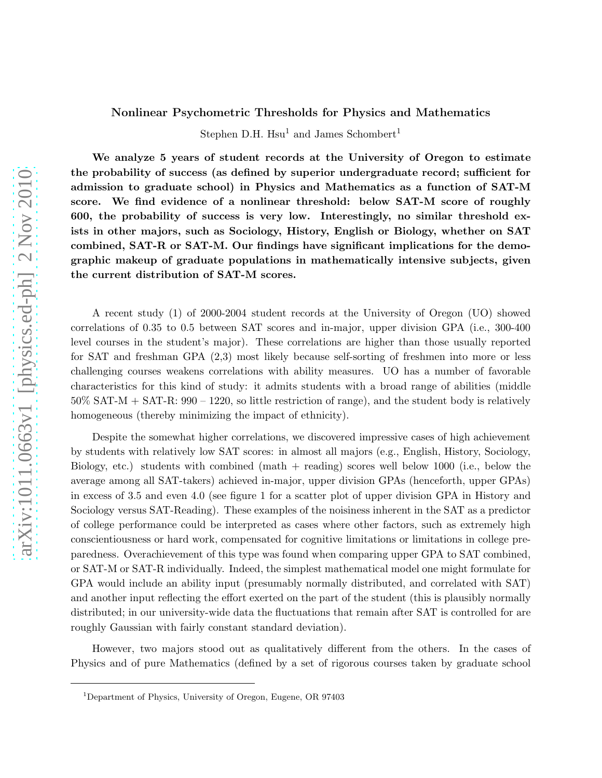## Nonlinear Psychometric Thresholds for Physics and Mathematics

Stephen D.H.  $Hsu<sup>1</sup>$  and James Schombert<sup>1</sup>

We analyze 5 years of student records at the University of Oregon to estimate the probability of success (as defined by superior undergraduate record; sufficient for admission to graduate school) in Physics and Mathematics as a function of SAT-M score. We find evidence of a nonlinear threshold: below SAT-M score of roughly 600, the probability of success is very low. Interestingly, no similar threshold exists in other majors, such as Sociology, History, English or Biology, whether on SAT combined, SAT-R or SAT-M. Our findings have significant implications for the demographic makeup of graduate populations in mathematically intensive subjects, given the current distribution of SAT-M scores.

A recent study (1) of 2000-2004 student records at the University of Oregon (UO) showed correlations of 0.35 to 0.5 between SAT scores and in-major, upper division GPA (i.e., 300-400 level courses in the student's major). These correlations are higher than those usually reported for SAT and freshman GPA (2,3) most likely because self-sorting of freshmen into more or less challenging courses weakens correlations with ability measures. UO has a number of favorable characteristics for this kind of study: it admits students with a broad range of abilities (middle  $50\%$  SAT-M + SAT-R:  $990 - 1220$ , so little restriction of range), and the student body is relatively homogeneous (thereby minimizing the impact of ethnicity).

Despite the somewhat higher correlations, we discovered impressive cases of high achievement by students with relatively low SAT scores: in almost all majors (e.g., English, History, Sociology, Biology, etc.) students with combined (math + reading) scores well below 1000 (i.e., below the average among all SAT-takers) achieved in-major, upper division GPAs (henceforth, upper GPAs) in excess of 3.5 and even 4.0 (see figure 1 for a scatter plot of upper division GPA in History and Sociology versus SAT-Reading). These examples of the noisiness inherent in the SAT as a predictor of college performance could be interpreted as cases where other factors, such as extremely high conscientiousness or hard work, compensated for cognitive limitations or limitations in college preparedness. Overachievement of this type was found when comparing upper GPA to SAT combined, or SAT-M or SAT-R individually. Indeed, the simplest mathematical model one might formulate for GPA would include an ability input (presumably normally distributed, and correlated with SAT) and another input reflecting the effort exerted on the part of the student (this is plausibly normally distributed; in our university-wide data the fluctuations that remain after SAT is controlled for are roughly Gaussian with fairly constant standard deviation).

However, two majors stood out as qualitatively different from the others. In the cases of Physics and of pure Mathematics (defined by a set of rigorous courses taken by graduate school

<sup>1</sup>Department of Physics, University of Oregon, Eugene, OR 97403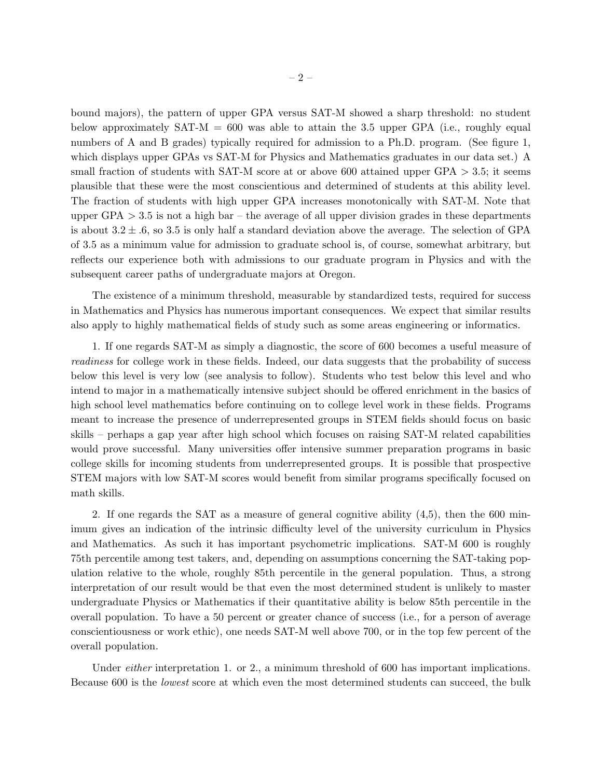bound majors), the pattern of upper GPA versus SAT-M showed a sharp threshold: no student below approximately  $SAT-M = 600$  was able to attain the 3.5 upper GPA (i.e., roughly equal numbers of A and B grades) typically required for admission to a Ph.D. program. (See figure 1, which displays upper GPAs vs SAT-M for Physics and Mathematics graduates in our data set.) A small fraction of students with SAT-M score at or above 600 attained upper GPA  $>$  3.5; it seems plausible that these were the most conscientious and determined of students at this ability level. The fraction of students with high upper GPA increases monotonically with SAT-M. Note that upper GPA  $> 3.5$  is not a high bar – the average of all upper division grades in these departments is about  $3.2 \pm .6$ , so 3.5 is only half a standard deviation above the average. The selection of GPA of 3.5 as a minimum value for admission to graduate school is, of course, somewhat arbitrary, but reflects our experience both with admissions to our graduate program in Physics and with the subsequent career paths of undergraduate majors at Oregon.

The existence of a minimum threshold, measurable by standardized tests, required for success in Mathematics and Physics has numerous important consequences. We expect that similar results also apply to highly mathematical fields of study such as some areas engineering or informatics.

1. If one regards SAT-M as simply a diagnostic, the score of 600 becomes a useful measure of readiness for college work in these fields. Indeed, our data suggests that the probability of success below this level is very low (see analysis to follow). Students who test below this level and who intend to major in a mathematically intensive subject should be offered enrichment in the basics of high school level mathematics before continuing on to college level work in these fields. Programs meant to increase the presence of underrepresented groups in STEM fields should focus on basic skills – perhaps a gap year after high school which focuses on raising SAT-M related capabilities would prove successful. Many universities offer intensive summer preparation programs in basic college skills for incoming students from underrepresented groups. It is possible that prospective STEM majors with low SAT-M scores would benefit from similar programs specifically focused on math skills.

2. If one regards the SAT as a measure of general cognitive ability (4,5), then the 600 minimum gives an indication of the intrinsic difficulty level of the university curriculum in Physics and Mathematics. As such it has important psychometric implications. SAT-M 600 is roughly 75th percentile among test takers, and, depending on assumptions concerning the SAT-taking population relative to the whole, roughly 85th percentile in the general population. Thus, a strong interpretation of our result would be that even the most determined student is unlikely to master undergraduate Physics or Mathematics if their quantitative ability is below 85th percentile in the overall population. To have a 50 percent or greater chance of success (i.e., for a person of average conscientiousness or work ethic), one needs SAT-M well above 700, or in the top few percent of the overall population.

Under *either* interpretation 1. or 2., a minimum threshold of 600 has important implications. Because 600 is the lowest score at which even the most determined students can succeed, the bulk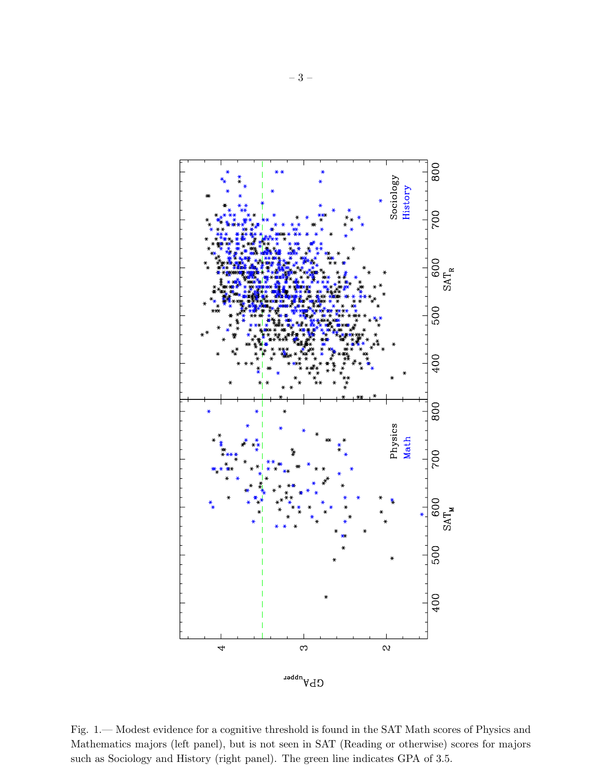

Fig. 1.— Modest evidence for a cognitive threshold is found in the SAT Math scores of Physics and Mathematics majors (left panel), but is not seen in SAT (Reading or otherwise) scores for majors such as Sociology and History (right panel). The green line indicates GPA of 3.5.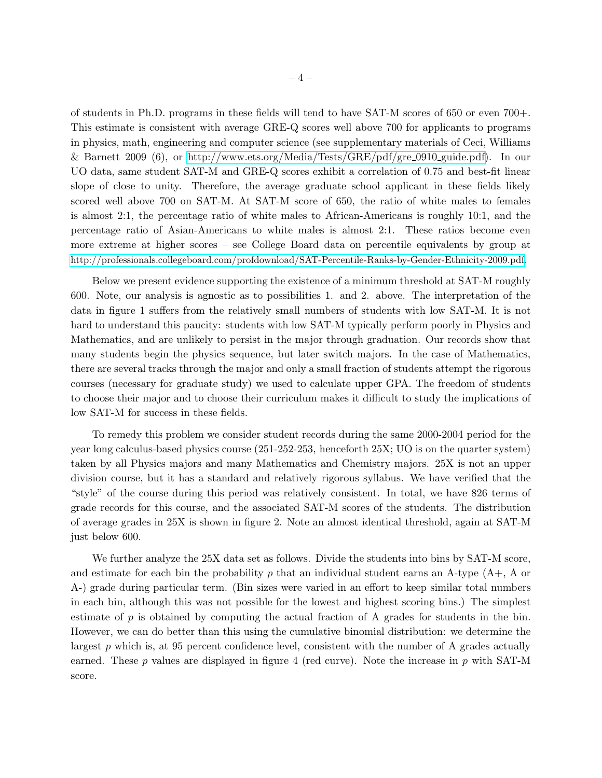of students in Ph.D. programs in these fields will tend to have SAT-M scores of 650 or even 700+. This estimate is consistent with average GRE-Q scores well above 700 for applicants to programs in physics, math, engineering and computer science (see supplementary materials of Ceci, Williams & Barnett 2009 (6), or [http://www.ets.org/Media/Tests/GRE/pdf/gre](http://www.ets.org/Media/Tests/GRE/pdf/gre_0910_guide.pdf) 0910 guide.pdf). In our UO data, same student SAT-M and GRE-Q scores exhibit a correlation of 0.75 and best-fit linear slope of close to unity. Therefore, the average graduate school applicant in these fields likely scored well above 700 on SAT-M. At SAT-M score of 650, the ratio of white males to females is almost 2:1, the percentage ratio of white males to African-Americans is roughly 10:1, and the percentage ratio of Asian-Americans to white males is almost 2:1. These ratios become even more extreme at higher scores – see College Board data on percentile equivalents by group at <http://professionals.collegeboard.com/profdownload/SAT-Percentile-Ranks-by-Gender-Ethnicity-2009.pdf>.

Below we present evidence supporting the existence of a minimum threshold at SAT-M roughly 600. Note, our analysis is agnostic as to possibilities 1. and 2. above. The interpretation of the data in figure 1 suffers from the relatively small numbers of students with low SAT-M. It is not hard to understand this paucity: students with low SAT-M typically perform poorly in Physics and Mathematics, and are unlikely to persist in the major through graduation. Our records show that many students begin the physics sequence, but later switch majors. In the case of Mathematics, there are several tracks through the major and only a small fraction of students attempt the rigorous courses (necessary for graduate study) we used to calculate upper GPA. The freedom of students to choose their major and to choose their curriculum makes it difficult to study the implications of low SAT-M for success in these fields.

To remedy this problem we consider student records during the same 2000-2004 period for the year long calculus-based physics course (251-252-253, henceforth 25X; UO is on the quarter system) taken by all Physics majors and many Mathematics and Chemistry majors. 25X is not an upper division course, but it has a standard and relatively rigorous syllabus. We have verified that the "style" of the course during this period was relatively consistent. In total, we have 826 terms of grade records for this course, and the associated SAT-M scores of the students. The distribution of average grades in 25X is shown in figure 2. Note an almost identical threshold, again at SAT-M just below 600.

We further analyze the 25X data set as follows. Divide the students into bins by SAT-M score, and estimate for each bin the probability p that an individual student earns an A-type  $(A_{+}, A_{0})$ A-) grade during particular term. (Bin sizes were varied in an effort to keep similar total numbers in each bin, although this was not possible for the lowest and highest scoring bins.) The simplest estimate of  $p$  is obtained by computing the actual fraction of A grades for students in the bin. However, we can do better than this using the cumulative binomial distribution: we determine the largest p which is, at 95 percent confidence level, consistent with the number of A grades actually earned. These p values are displayed in figure 4 (red curve). Note the increase in p with SAT-M score.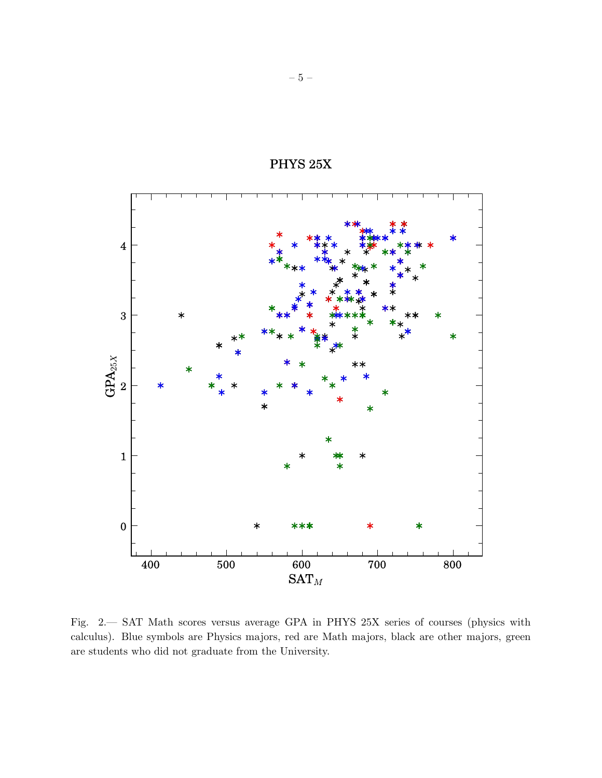

PHYS  $25X$ 

Fig. 2.— SAT Math scores versus average GPA in PHYS 25X series of courses (physics with calculus). Blue symbols are Physics majors, red are Math majors, black are other majors, green are students who did not graduate from the University.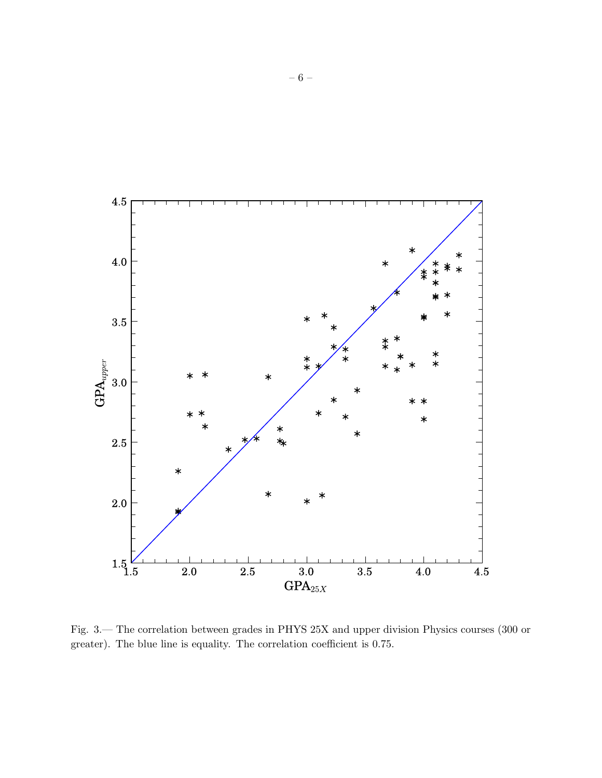

Fig. 3.— The correlation between grades in PHYS 25X and upper division Physics courses (300 or greater). The blue line is equality. The correlation coefficient is 0.75.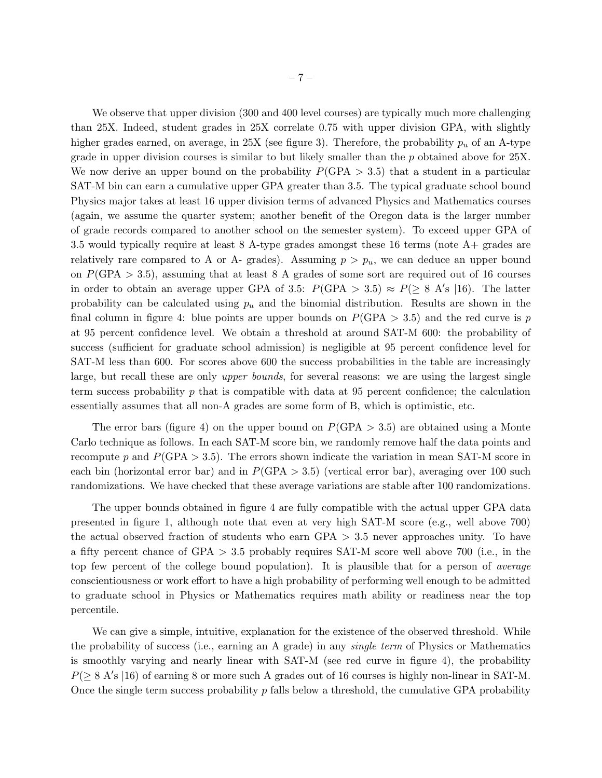We observe that upper division (300 and 400 level courses) are typically much more challenging than 25X. Indeed, student grades in 25X correlate 0.75 with upper division GPA, with slightly higher grades earned, on average, in  $25X$  (see figure 3). Therefore, the probability  $p_u$  of an A-type grade in upper division courses is similar to but likely smaller than the  $p$  obtained above for  $25X$ . We now derive an upper bound on the probability  $P(\text{GPA} > 3.5)$  that a student in a particular SAT-M bin can earn a cumulative upper GPA greater than 3.5. The typical graduate school bound Physics major takes at least 16 upper division terms of advanced Physics and Mathematics courses (again, we assume the quarter system; another benefit of the Oregon data is the larger number of grade records compared to another school on the semester system). To exceed upper GPA of 3.5 would typically require at least 8 A-type grades amongst these 16 terms (note A+ grades are relatively rare compared to A or A- grades). Assuming  $p > p_u$ , we can deduce an upper bound on  $P(\text{GPA} > 3.5)$ , assuming that at least 8 A grades of some sort are required out of 16 courses in order to obtain an average upper GPA of 3.5:  $P(\text{GPA} > 3.5) \approx P(\geq 8 \text{ A/s } | 16)$ . The latter probability can be calculated using  $p_u$  and the binomial distribution. Results are shown in the final column in figure 4: blue points are upper bounds on  $P(\text{GPA} > 3.5)$  and the red curve is p at 95 percent confidence level. We obtain a threshold at around SAT-M 600: the probability of success (sufficient for graduate school admission) is negligible at 95 percent confidence level for SAT-M less than 600. For scores above 600 the success probabilities in the table are increasingly large, but recall these are only *upper bounds*, for several reasons: we are using the largest single term success probability  $p$  that is compatible with data at 95 percent confidence; the calculation essentially assumes that all non-A grades are some form of B, which is optimistic, etc.

The error bars (figure 4) on the upper bound on  $P(\text{GPA} > 3.5)$  are obtained using a Monte Carlo technique as follows. In each SAT-M score bin, we randomly remove half the data points and recompute p and  $P(\text{GPA} > 3.5)$ . The errors shown indicate the variation in mean SAT-M score in each bin (horizontal error bar) and in  $P(GPA > 3.5)$  (vertical error bar), averaging over 100 such randomizations. We have checked that these average variations are stable after 100 randomizations.

The upper bounds obtained in figure 4 are fully compatible with the actual upper GPA data presented in figure 1, although note that even at very high SAT-M score (e.g., well above 700) the actual observed fraction of students who earn  $GPA > 3.5$  never approaches unity. To have a fifty percent chance of GPA > 3.5 probably requires SAT-M score well above 700 (i.e., in the top few percent of the college bound population). It is plausible that for a person of average conscientiousness or work effort to have a high probability of performing well enough to be admitted to graduate school in Physics or Mathematics requires math ability or readiness near the top percentile.

We can give a simple, intuitive, explanation for the existence of the observed threshold. While the probability of success (i.e., earning an A grade) in any single term of Physics or Mathematics is smoothly varying and nearly linear with SAT-M (see red curve in figure 4), the probability  $P(≥ 8 A's | 16)$  of earning 8 or more such A grades out of 16 courses is highly non-linear in SAT-M. Once the single term success probability  $p$  falls below a threshold, the cumulative GPA probability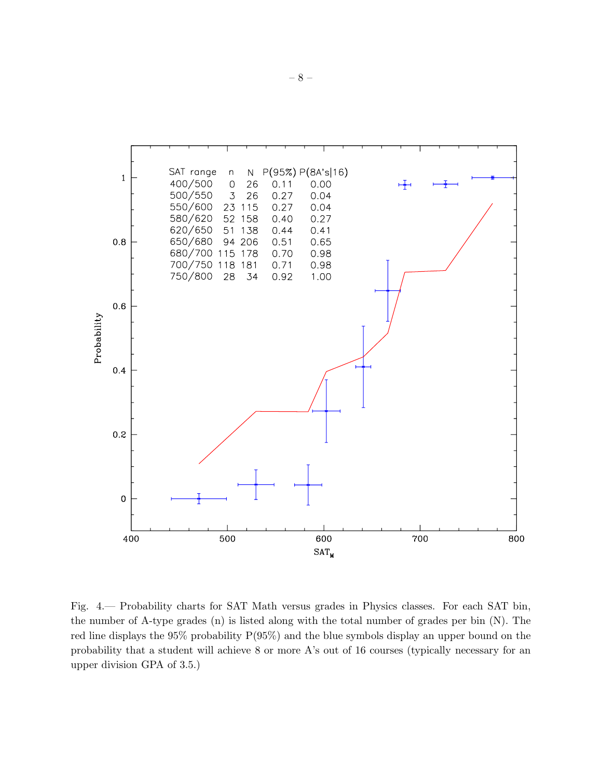

Fig. 4.— Probability charts for SAT Math versus grades in Physics classes. For each SAT bin, the number of A-type grades (n) is listed along with the total number of grades per bin (N). The red line displays the 95% probability P(95%) and the blue symbols display an upper bound on the probability that a student will achieve 8 or more A's out of 16 courses (typically necessary for an upper division GPA of 3.5.)